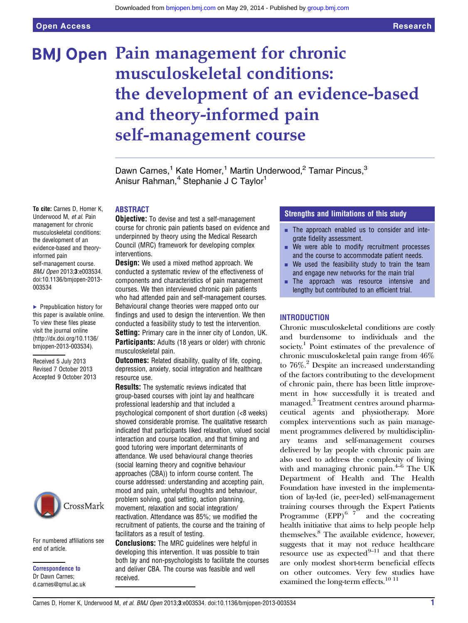# **BMJ Open Pain management for chronic** musculoskeletal conditions: the development of an evidence-based and theory-informed pain self-management course

Dawn Carnes,<sup>1</sup> Kate Homer,<sup>1</sup> Martin Underwood,<sup>2</sup> Tamar Pincus,<sup>3</sup> Anisur Rahman,<sup>4</sup> Stephanie J C Taylor<sup>1</sup>

To cite: Carnes D, Homer K, Underwood M, et al. Pain management for chronic musculoskeletal conditions: the development of an evidence-based and theoryinformed pain self-management course. BMJ Open 2013;3:e003534. doi:10.1136/bmjopen-2013- 003534

▶ Prepublication history for this paper is available online. To view these files please visit the journal online [\(http://dx.doi.org/10.1136/](http://dx.doi.org/10.1136/bmjopen-2013-003534) [bmjopen-2013-003534](http://dx.doi.org/10.1136/bmjopen-2013-003534)).

Received 5 July 2013 Revised 7 October 2013 Accepted 9 October 2013



For numbered affiliations see end of article.

Correspondence to Dr Dawn Carnes; d.carnes@qmul.ac.uk ABSTRACT

**Objective:** To devise and test a self-management course for chronic pain patients based on evidence and underpinned by theory using the Medical Research Council (MRC) framework for developing complex interventions.

**Design:** We used a mixed method approach. We conducted a systematic review of the effectiveness of components and characteristics of pain management courses. We then interviewed chronic pain patients who had attended pain and self-management courses. Behavioural change theories were mapped onto our findings and used to design the intervention. We then conducted a feasibility study to test the intervention. Setting: Primary care in the inner city of London, UK. **Participants:** Adults (18 years or older) with chronic musculoskeletal pain.

**Outcomes:** Related disability, quality of life, coping, depression, anxiety, social integration and healthcare resource use.

Results: The systematic reviews indicated that group-based courses with joint lay and healthcare professional leadership and that included a psychological component of short duration (<8 weeks) showed considerable promise. The qualitative research indicated that participants liked relaxation, valued social interaction and course location, and that timing and good tutoring were important determinants of attendance. We used behavioural change theories (social learning theory and cognitive behaviour approaches (CBA)) to inform course content. The course addressed: understanding and accepting pain, mood and pain, unhelpful thoughts and behaviour, problem solving, goal setting, action planning, movement, relaxation and social integration/ reactivation. Attendance was 85%; we modified the recruitment of patients, the course and the training of facilitators as a result of testing.

Conclusions: The MRC guidelines were helpful in developing this intervention. It was possible to train both lay and non-psychologists to facilitate the courses and deliver CBA. The course was feasible and well received.

# Strengths and limitations of this study

- **The approach enabled us to consider and inte**grate fidelity assessment.
- $\blacksquare$  We were able to modify recruitment processes and the course to accommodate patient needs.
- $\blacksquare$  We used the feasibility study to train the team and engage new networks for the main trial
- **The approach was resource intensive and** lengthy but contributed to an efficient trial.

# INTRODUCTION

Chronic musculoskeletal conditions are costly and burdensome to individuals and the society.<sup>1</sup> Point estimates of the prevalence of chronic musculoskeletal pain range from 46% to 76%.2 Despite an increased understanding of the factors contributing to the development of chronic pain, there has been little improvement in how successfully it is treated and managed.3 Treatment centres around pharmaceutical agents and physiotherapy. More complex interventions such as pain management programmes delivered by multidisciplinary teams and self-management courses delivered by lay people with chronic pain are also used to address the complexity of living with and managing chronic pain. $4\overline{6}$  The UK Department of Health and The Health Foundation have invested in the implementation of lay-led (ie, peer-led) self-management training courses through the Expert Patients Programme  $(EPP)^{6}$ <sup>7</sup> and the cocreating health initiative that aims to help people help themselves.8 The available evidence, however, suggests that it may not reduce healthcare resource use as expected $9-11$  and that there are only modest short-term beneficial effects on other outcomes. Very few studies have examined the long-term effects.10 11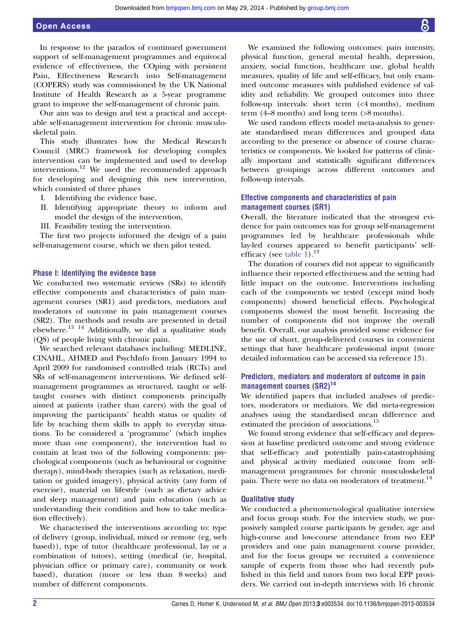In response to the paradox of continued government support of self-management programmes and equivocal evidence of effectiveness, the COping with persistent Pain, Effectiveness Research into Self-management (COPERS) study was commissioned by the UK National Institute of Health Research as a 5-year programme grant to improve the self-management of chronic pain.

Our aim was to design and test a practical and acceptable self-management intervention for chronic musculoskeletal pain.

This study illustrates how the Medical Research Council (MRC) framework for developing complex intervention can be implemented and used to develop interventions.<sup>12</sup> We used the recommended approach for developing and designing this new intervention, which consisted of three phases

- I. Identifying the evidence base,
- II. Identifying appropriate theory to inform and model the design of the intervention,
- III. Feasibility testing the intervention.

The first two projects informed the design of a pain self-management course, which we then pilot tested.

#### Phase I: Identifying the evidence base

We conducted two systematic reviews (SRs) to identify effective components and characteristics of pain management courses (SR1) and predictors, mediators and moderators of outcome in pain management courses (SR2). The methods and results are presented in detail elsewhere.13 14 Additionally, we did a qualitative study (QS) of people living with chronic pain.

We searched relevant databases including: MEDLINE, CINAHL, AHMED and PsychInfo from January 1994 to April 2009 for randomised controlled trials (RCTs) and SRs of self-management interventions. We defined selfmanagement programmes as structured, taught or selftaught courses with distinct components principally aimed at patients (rather than carers) with the goal of improving the participants' health status or quality of life by teaching them skills to apply to everyday situations. To be considered a 'programme' (which implies more than one component), the intervention had to contain at least two of the following components: psychological components (such as behavioural or cognitive therapy), mind-body therapies (such as relaxation, meditation or guided imagery), physical activity (any form of exercise), material on lifestyle (such as dietary advice and sleep management) and pain education (such as understanding their condition and how to take medication effectively).

We characterised the interventions according to: type of delivery (group, individual, mixed or remote (eg, web based)), type of tutor (healthcare professional, lay or a combination of tutors), setting (medical (ie, hospital, physician office or primary care), community or work based), duration (more or less than 8 weeks) and number of different components.

We examined the following outcomes: pain intensity, physical function, general mental health, depression, anxiety, social function, healthcare use, global health measures, quality of life and self-efficacy, but only examined outcome measures with published evidence of validity and reliability. We grouped outcomes into three follow-up intervals: short term (<4 months), medium term (4–8 months) and long term (>8 months).

We used random effects model meta-analysis to generate standardised mean differences and grouped data according to the presence or absence of course characteristics or components. We looked for patterns of clinically important and statistically significant differences between groupings across different outcomes and follow-up intervals.

# Effective components and characteristics of pain management courses (SR1)

Overall, the literature indicated that the strongest evidence for pain outcomes was for group self-management programmes led by healthcare professionals while lay-led courses appeared to benefit participants' selfefficacy (see table 1).<sup>13</sup>

The duration of courses did not appear to significantly influence their reported effectiveness and the setting had little impact on the outcome. Interventions including each of the components we tested (except mind body components) showed beneficial effects. Psychological components showed the most benefit. Increasing the number of components did not improve the overall benefit. Overall, our analysis provided some evidence for the use of short, group-delivered courses in convenient settings that have healthcare professional input (more detailed information can be accessed via reference 13).

# Predictors, mediators and moderators of outcome in pain management courses (SR2)<sup>14</sup>

We identified papers that included analyses of predictors, moderators or mediators. We did meta-regression analyses using the standardised mean difference and estimated the precision of associations.<sup>15</sup>

We found strong evidence that self-efficacy and depression at baseline predicted outcome and strong evidence that self-efficacy and potentially pain-catastrophising and physical activity mediated outcome from selfmanagement programmes for chronic musculoskeletal pain. There were no data on moderators of treatment.<sup>14</sup>

# Qualitative study

We conducted a phenomenological qualitative interview and focus group study. For the interview study, we purposively sampled course participants by gender, age and high-course and low-course attendance from two EEP providers and one pain management course provider, and for the focus groups we recruited a convenience sample of experts from those who had recently published in this field and tutors from two local EPP providers. We carried out in-depth interviews with 16 chronic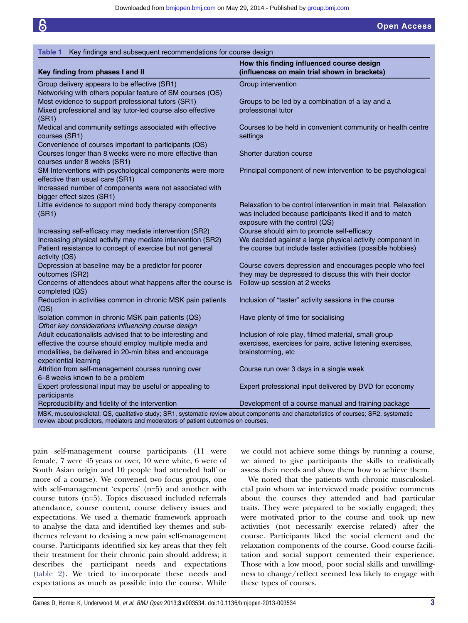| Key findings and subsequent recommendations for course design<br>Table 1                                                             |                                                                                           |
|--------------------------------------------------------------------------------------------------------------------------------------|-------------------------------------------------------------------------------------------|
| Key finding from phases I and II                                                                                                     | How this finding influenced course design<br>(influences on main trial shown in brackets) |
| Group delivery appears to be effective (SR1)                                                                                         | Group intervention                                                                        |
| Networking with others popular feature of SM courses (QS)                                                                            |                                                                                           |
| Most evidence to support professional tutors (SR1)                                                                                   | Groups to be led by a combination of a lay and a                                          |
| Mixed professional and lay tutor-led course also effective<br>(SR1)                                                                  | professional tutor                                                                        |
| Medical and community settings associated with effective<br>courses (SR1)                                                            | Courses to be held in convenient community or health centre<br>settings                   |
| Convenience of courses important to participants (QS)                                                                                |                                                                                           |
| Courses longer than 8 weeks were no more effective than<br>courses under 8 weeks (SR1)                                               | Shorter duration course                                                                   |
| SM Interventions with psychological components were more                                                                             | Principal component of new intervention to be psychological                               |
| effective than usual care (SR1)                                                                                                      |                                                                                           |
| Increased number of components were not associated with<br>bigger effect sizes (SR1)                                                 |                                                                                           |
| Little evidence to support mind body therapy components                                                                              | Relaxation to be control intervention in main trial. Relaxation                           |
| (SR1)                                                                                                                                | was included because participants liked it and to match<br>exposure with the control (QS) |
| Increasing self-efficacy may mediate intervention (SR2)                                                                              | Course should aim to promote self-efficacy                                                |
| Increasing physical activity may mediate intervention (SR2)                                                                          | We decided against a large physical activity component in                                 |
| Patient resistance to concept of exercise but not general                                                                            | the course but include taster activities (possible hobbies)                               |
| activity (QS)                                                                                                                        |                                                                                           |
| Depression at baseline may be a predictor for poorer                                                                                 | Course covers depression and encourages people who feel                                   |
| outcomes (SR2)                                                                                                                       | they may be depressed to discuss this with their doctor                                   |
| Concerns of attendees about what happens after the course is<br>completed (QS)                                                       | Follow-up session at 2 weeks                                                              |
| Reduction in activities common in chronic MSK pain patients<br>(QS)                                                                  | Inclusion of "taster" activity sessions in the course                                     |
| Isolation common in chronic MSK pain patients (QS)                                                                                   | Have plenty of time for socialising                                                       |
| Other key considerations influencing course design                                                                                   |                                                                                           |
| Adult educationalists advised that to be interesting and                                                                             | Inclusion of role play, filmed material, small group                                      |
| effective the course should employ multiple media and                                                                                | exercises, exercises for pairs, active listening exercises,                               |
| modalities, be delivered in 20-min bites and encourage                                                                               | brainstorming, etc                                                                        |
| experiential learning                                                                                                                |                                                                                           |
| Attrition from self-management courses running over                                                                                  | Course run over 3 days in a single week                                                   |
| 6-8 weeks known to be a problem                                                                                                      |                                                                                           |
| Expert professional input may be useful or appealing to                                                                              | Expert professional input delivered by DVD for economy                                    |
| participants                                                                                                                         |                                                                                           |
| Reproducibility and fidelity of the intervention                                                                                     | Development of a course manual and training package                                       |
| MSK, musculoskeletal; QS, qualitative study; SR1, systematic review about components and characteristics of courses; SR2, systematic |                                                                                           |

review about predictors, mediators and moderators of patient outcomes on courses.

pain self-management course participants (11 were female, 7 were 45 years or over, 10 were white, 6 were of South Asian origin and 10 people had attended half or more of a course). We convened two focus groups, one with self-management 'experts' (n=5) and another with course tutors (n=5). Topics discussed included referrals attendance, course content, course delivery issues and expectations. We used a thematic framework approach to analyse the data and identified key themes and subthemes relevant to devising a new pain self-management course. Participants identified six key areas that they felt their treatment for their chronic pain should address; it describes the participant needs and expectations (table 2). We tried to incorporate these needs and expectations as much as possible into the course. While

we could not achieve some things by running a course, we aimed to give participants the skills to realistically assess their needs and show them how to achieve them.

We noted that the patients with chronic musculoskeletal pain whom we interviewed made positive comments about the courses they attended and had particular traits. They were prepared to be socially engaged; they were motivated prior to the course and took up new activities (not necessarily exercise related) after the course. Participants liked the social element and the relaxation components of the course. Good course facilitation and social support cemented their experience. Those with a low mood, poor social skills and unwillingness to change/reflect seemed less likely to engage with these types of courses.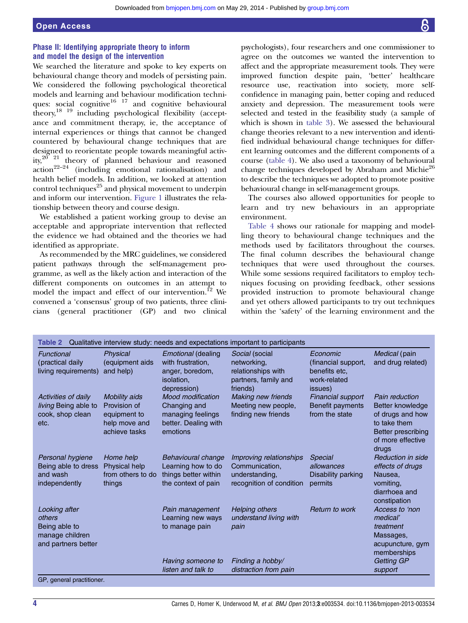# Phase II: Identifying appropriate theory to inform and model the design of the intervention

We searched the literature and spoke to key experts on behavioural change theory and models of persisting pain. We considered the following psychological theoretical models and learning and behaviour modification techniques: social cognitive<sup>16</sup> <sup>17</sup> and cognitive behavioural theory,18 19 including psychological flexibility (acceptance and commitment therapy, ie, the acceptance of internal experiences or things that cannot be changed countered by behavioural change techniques that are designed to reorientate people towards meaningful activ $ity,20$ <sup>21</sup> theory of planned behaviour and reasoned action22–<sup>24</sup> (including emotional rationalisation) and health belief models. In addition, we looked at attention control techniques $^{25}$  and physical movement to underpin and inform our intervention. Figure 1 illustrates the relationship between theory and course design.

We established a patient working group to devise an acceptable and appropriate intervention that reflected the evidence we had obtained and the theories we had identified as appropriate.

As recommended by the MRC guidelines, we considered patient pathways through the self-management programme, as well as the likely action and interaction of the different components on outcomes in an attempt to model the impact and effect of our intervention.<sup>12</sup> We convened a 'consensus' group of two patients, three clinicians (general practitioner (GP) and two clinical

psychologists), four researchers and one commissioner to agree on the outcomes we wanted the intervention to affect and the appropriate measurement tools. They were improved function despite pain, 'better' healthcare resource use, reactivation into society, more selfconfidence in managing pain, better coping and reduced anxiety and depression. The measurement tools were selected and tested in the feasibility study (a sample of which is shown in table 3). We assessed the behavioural change theories relevant to a new intervention and identified individual behavioural change techniques for different learning outcomes and the different components of a course (table 4). We also used a taxonomy of behavioural change techniques developed by Abraham and Michi $e^{26}$ to describe the techniques we adopted to promote positive behavioural change in self-management groups.

The courses also allowed opportunities for people to learn and try new behaviours in an appropriate environment.

Table 4 shows our rationale for mapping and modelling theory to behavioural change techniques and the methods used by facilitators throughout the courses. The final column describes the behavioural change techniques that were used throughout the courses. While some sessions required facilitators to employ techniques focusing on providing feedback, other sessions provided instruction to promote behavioural change and yet others allowed participants to try out techniques within the 'safety' of the learning environment and the

| Table 2                                                                            |                                                                                        |                                                                                                | Qualitative interview study: needs and expectations important to participants           |                                                                             |                                                                                                                            |
|------------------------------------------------------------------------------------|----------------------------------------------------------------------------------------|------------------------------------------------------------------------------------------------|-----------------------------------------------------------------------------------------|-----------------------------------------------------------------------------|----------------------------------------------------------------------------------------------------------------------------|
| Functional<br>(practical daily<br>living requirements)                             | Physical<br>(equipment aids<br>and help)                                               | <i>Emotional</i> (dealing<br>with frustration,<br>anger, boredom,<br>isolation.<br>depression) | Social (social<br>networking,<br>relationships with<br>partners, family and<br>friends) | Economic<br>(financial support,<br>benefits etc.<br>work-related<br>issues) | Medical (pain<br>and drug related)                                                                                         |
| Activities of daily<br>living Being able to<br>cook, shop clean<br>etc.            | <b>Mobility aids</b><br>Provision of<br>equipment to<br>help move and<br>achieve tasks | Mood modification<br>Changing and<br>managing feelings<br>better. Dealing with<br>emotions     | <b>Making new friends</b><br>Meeting new people,<br>finding new friends                 | <b>Financial support</b><br>Benefit payments<br>from the state              | Pain reduction<br>Better knowledge<br>of drugs and how<br>to take them<br>Better prescribing<br>of more effective<br>drugs |
| Personal hygiene<br>Being able to dress<br>and wash<br>independently               | Home help<br>Physical help<br>from others to do<br>things                              | Behavioural change<br>Learning how to do<br>things better within<br>the context of pain        | Improving relationships<br>Communication,<br>understanding,<br>recognition of condition | <b>Special</b><br>allowances<br>Disability parking<br>permits               | Reduction in side<br>effects of drugs<br>Nausea.<br>vomiting,<br>diarrhoea and<br>constipation                             |
| Looking after<br>others<br>Being able to<br>manage children<br>and partners better |                                                                                        | Pain management<br>Learning new ways<br>to manage pain                                         | <b>Helping others</b><br>understand living with<br>pain                                 | Return to work                                                              | Access to 'non<br>medical'<br>treatment<br>Massages,<br>acupuncture, gym<br>memberships                                    |
| GP, general practitioner.                                                          |                                                                                        | Having someone to<br>listen and talk to                                                        | Finding a hobby/<br>distraction from pain                                               |                                                                             | <b>Getting GP</b><br>support                                                                                               |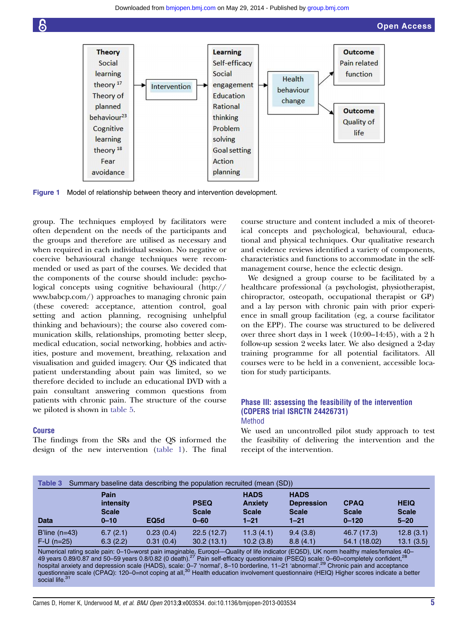

Figure 1 Model of relationship between theory and intervention development.

group. The techniques employed by facilitators were often dependent on the needs of the participants and the groups and therefore are utilised as necessary and when required in each individual session. No negative or coercive behavioural change techniques were recommended or used as part of the courses. We decided that the components of the course should include: psychological concepts using cognitive behavioural ([http://](http://www.babcp.com/) [www.babcp.com/\)](http://www.babcp.com/) approaches to managing chronic pain (these covered: acceptance, attention control, goal setting and action planning, recognising unhelpful thinking and behaviours); the course also covered communication skills, relationships, promoting better sleep, medical education, social networking, hobbies and activities, posture and movement, breathing, relaxation and visualisation and guided imagery. Our QS indicated that patient understanding about pain was limited, so we therefore decided to include an educational DVD with a pain consultant answering common questions from patients with chronic pain. The structure of the course we piloted is shown in table 5.

# Course

The findings from the SRs and the QS informed the design of the new intervention (table 1). The final course structure and content included a mix of theoretical concepts and psychological, behavioural, educational and physical techniques. Our qualitative research and evidence reviews identified a variety of components, characteristics and functions to accommodate in the selfmanagement course, hence the eclectic design.

We designed a group course to be facilitated by a healthcare professional (a psychologist, physiotherapist, chiropractor, osteopath, occupational therapist or GP) and a lay person with chronic pain with prior experience in small group facilitation (eg, a course facilitator on the EPP). The course was structured to be delivered over three short days in 1 week (10:00–14:45), with a 2 h follow-up session 2 weeks later. We also designed a 2-day training programme for all potential facilitators. All courses were to be held in a convenient, accessible location for study participants.

# Phase III: assessing the feasibility of the intervention (COPERS trial ISRCTN 24426731) Method

We used an uncontrolled pilot study approach to test the feasibility of delivering the intervention and the receipt of the intervention.

| Table 3                         | Summary baseline data describing the population recruited (mean (SD)) |                        |                                         |                                                           |                                                              |                                          |                                         |
|---------------------------------|-----------------------------------------------------------------------|------------------------|-----------------------------------------|-----------------------------------------------------------|--------------------------------------------------------------|------------------------------------------|-----------------------------------------|
| <b>Data</b>                     | Pain<br>intensity<br><b>Scale</b><br>$0 - 10$                         | EQ <sub>5</sub> d      | <b>PSEQ</b><br><b>Scale</b><br>$0 - 60$ | <b>HADS</b><br><b>Anxiety</b><br><b>Scale</b><br>$1 - 21$ | <b>HADS</b><br><b>Depression</b><br><b>Scale</b><br>$1 - 21$ | <b>CPAQ</b><br><b>Scale</b><br>$0 - 120$ | <b>HEIQ</b><br><b>Scale</b><br>$5 - 20$ |
| B'line $(n=43)$<br>$F-U$ (n=25) | 6.7(2.1)<br>6.3(2.2)                                                  | 0.23(0.4)<br>0.31(0.4) | 22.5(12.7)<br>30.2(13.1)                | 11.3(4.1)<br>10.2(3.8)                                    | 9.4(3.8)<br>8.8(4.1)                                         | 46.7 (17.3)<br>54.1 (18.02)              | 12.8(3.1)<br>13.1(3.5)                  |

Numerical rating scale pain: 0–10=worst pain imaginable, Euroqol—Quality of life indicator (EQ5D), UK norm healthy males/females 40– 49 years 0.89/0.87 and 50–59 years 0.8/0.82 (0 death).<sup>27</sup> Pain self-efficacy questionnaire (PSEQ) scale: 0–60=completely confident.<sup>28</sup> hospital anxiety and depression scale (HADS), scale: 0-7 'normal', 8-10 borderline, 11-21 'abnormal'.<sup>29</sup> Chronic pain and acceptance questionnaire scale (CPAQ): 120–0=not coping at all,<sup>30</sup> Health education involvement questionnaire (HEIQ) Higher scores indicate a better social life.<sup>31</sup>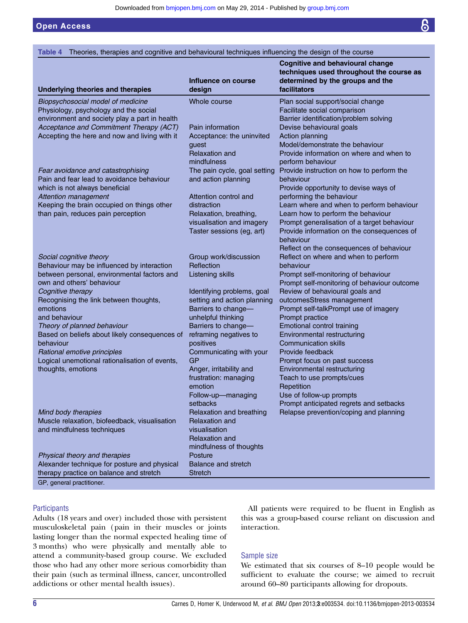|  |  |  |  |  |  |  | Table 4 Theories, therapies and cognitive and behavioural techniques influencing the design of the course |
|--|--|--|--|--|--|--|-----------------------------------------------------------------------------------------------------------|
|--|--|--|--|--|--|--|-----------------------------------------------------------------------------------------------------------|

| Underlying theories and therapies                                                       | Influence on course<br>design               | <b>Cognitive and behavioural change</b><br>techniques used throughout the course as<br>determined by the groups and the<br>facilitators |
|-----------------------------------------------------------------------------------------|---------------------------------------------|-----------------------------------------------------------------------------------------------------------------------------------------|
| Biopsychosocial model of medicine                                                       | Whole course                                | Plan social support/social change                                                                                                       |
| Physiology, psychology and the social                                                   |                                             | Facilitate social comparison                                                                                                            |
| environment and society play a part in health                                           |                                             | Barrier identification/problem solving                                                                                                  |
| Acceptance and Commitment Therapy (ACT)                                                 | Pain information                            | Devise behavioural goals                                                                                                                |
| Accepting the here and now and living with it                                           | Acceptance: the uninvited                   | Action planning                                                                                                                         |
|                                                                                         | guest                                       | Model/demonstrate the behaviour                                                                                                         |
|                                                                                         | <b>Relaxation and</b>                       | Provide information on where and when to                                                                                                |
|                                                                                         | mindfulness<br>The pain cycle, goal setting | perform behaviour                                                                                                                       |
| Fear avoidance and catastrophising<br>Pain and fear lead to avoidance behaviour         | and action planning                         | Provide instruction on how to perform the<br>behaviour                                                                                  |
| which is not always beneficial                                                          |                                             | Provide opportunity to devise ways of                                                                                                   |
| Attention management                                                                    | Attention control and                       | performing the behaviour                                                                                                                |
| Keeping the brain occupied on things other                                              | distraction                                 | Learn where and when to perform behaviour                                                                                               |
| than pain, reduces pain perception                                                      | Relaxation, breathing,                      | Learn how to perform the behaviour                                                                                                      |
|                                                                                         | visualisation and imagery                   | Prompt generalisation of a target behaviour                                                                                             |
|                                                                                         | Taster sessions (eg, art)                   | Provide information on the consequences of                                                                                              |
|                                                                                         |                                             | behaviour<br>Reflect on the consequences of behaviour                                                                                   |
| Social cognitive theory                                                                 | Group work/discussion                       | Reflect on where and when to perform                                                                                                    |
| Behaviour may be influenced by interaction                                              | Reflection                                  | behaviour                                                                                                                               |
| between personal, environmental factors and                                             | Listening skills                            | Prompt self-monitoring of behaviour                                                                                                     |
| own and others' behaviour                                                               |                                             | Prompt self-monitoring of behaviour outcome                                                                                             |
| Cognitive therapy                                                                       | Identifying problems, goal                  | Review of behavioural goals and                                                                                                         |
| Recognising the link between thoughts,                                                  | setting and action planning                 | outcomesStress management                                                                                                               |
| emotions                                                                                | Barriers to change-                         | Prompt self-talkPrompt use of imagery                                                                                                   |
| and behaviour<br>Theory of planned behaviour                                            | unhelpful thinking<br>Barriers to change-   | Prompt practice<br>Emotional control training                                                                                           |
| Based on beliefs about likely consequences of                                           | reframing negatives to                      | Environmental restructuring                                                                                                             |
| behaviour                                                                               | positives                                   | <b>Communication skills</b>                                                                                                             |
| Rational emotive principles                                                             | Communicating with your                     | Provide feedback                                                                                                                        |
| Logical unemotional rationalisation of events,                                          | <b>GP</b>                                   | Prompt focus on past success                                                                                                            |
| thoughts, emotions                                                                      | Anger, irritability and                     | Environmental restructuring                                                                                                             |
|                                                                                         | frustration: managing                       | Teach to use prompts/cues                                                                                                               |
|                                                                                         | emotion<br>Follow-up-managing               | Repetition<br>Use of follow-up prompts                                                                                                  |
|                                                                                         | setbacks                                    | Prompt anticipated regrets and setbacks                                                                                                 |
| Mind body therapies                                                                     | Relaxation and breathing                    | Relapse prevention/coping and planning                                                                                                  |
| Muscle relaxation, biofeedback, visualisation                                           | <b>Relaxation and</b>                       |                                                                                                                                         |
| and mindfulness techniques                                                              | visualisation                               |                                                                                                                                         |
|                                                                                         | Relaxation and                              |                                                                                                                                         |
|                                                                                         | mindfulness of thoughts                     |                                                                                                                                         |
| Physical theory and therapies                                                           | Posture<br><b>Balance and stretch</b>       |                                                                                                                                         |
| Alexander technique for posture and physical<br>therapy practice on balance and stretch | <b>Stretch</b>                              |                                                                                                                                         |
| GP, general practitioner.                                                               |                                             |                                                                                                                                         |

#### **Participants**

Adults (18 years and over) included those with persistent musculoskeletal pain (pain in their muscles or joints lasting longer than the normal expected healing time of 3 months) who were physically and mentally able to attend a community-based group course. We excluded those who had any other more serious comorbidity than their pain (such as terminal illness, cancer, uncontrolled addictions or other mental health issues).

All patients were required to be fluent in English as this was a group-based course reliant on discussion and interaction.

# Sample size

We estimated that six courses of 8–10 people would be sufficient to evaluate the course; we aimed to recruit around 60–80 participants allowing for dropouts.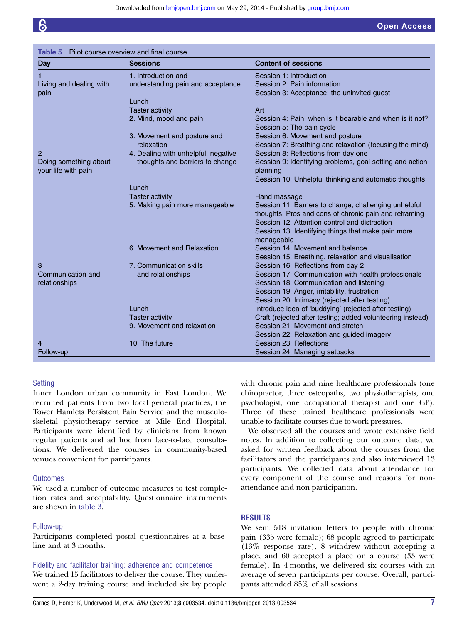Downloaded from [bmjopen.bmj.com](http://bmjopen.bmj.com/) on May 29, 2014 - Published by [group.bmj.com](http://group.bmj.com/)

| Table 5                 | Pilot course overview and final course |                                                            |
|-------------------------|----------------------------------------|------------------------------------------------------------|
| Day                     | <b>Sessions</b>                        | <b>Content of sessions</b>                                 |
|                         | 1. Introduction and                    | Session 1: Introduction                                    |
| Living and dealing with | understanding pain and acceptance      | Session 2: Pain information                                |
| pain                    |                                        | Session 3: Acceptance: the uninvited guest                 |
|                         | Lunch                                  |                                                            |
|                         | <b>Taster activity</b>                 | Art                                                        |
|                         | 2. Mind, mood and pain                 | Session 4: Pain, when is it bearable and when is it not?   |
|                         |                                        | Session 5: The pain cycle                                  |
|                         | 3. Movement and posture and            | Session 6: Movement and posture                            |
|                         | relaxation                             | Session 7: Breathing and relaxation (focusing the mind)    |
| $\overline{2}$          | 4. Dealing with unhelpful, negative    | Session 8: Reflections from day one                        |
| Doing something about   | thoughts and barriers to change        | Session 9: Identifying problems, goal setting and action   |
| your life with pain     |                                        | planning                                                   |
|                         |                                        | Session 10: Unhelpful thinking and automatic thoughts      |
|                         | Lunch                                  |                                                            |
|                         | <b>Taster activity</b>                 | Hand massage                                               |
|                         | 5. Making pain more manageable         | Session 11: Barriers to change, challenging unhelpful      |
|                         |                                        | thoughts. Pros and cons of chronic pain and reframing      |
|                         |                                        | Session 12: Attention control and distraction              |
|                         |                                        | Session 13: Identifying things that make pain more         |
|                         |                                        | manageable                                                 |
|                         | 6. Movement and Relaxation             | Session 14: Movement and balance                           |
|                         |                                        | Session 15: Breathing, relaxation and visualisation        |
| 3                       | 7. Communication skills                | Session 16: Reflections from day 2                         |
| Communication and       | and relationships                      | Session 17: Communication with health professionals        |
| relationships           |                                        | Session 18: Communication and listening                    |
|                         |                                        | Session 19: Anger, irritability, frustration               |
|                         |                                        | Session 20: Intimacy (rejected after testing)              |
|                         | Lunch                                  | Introduce idea of 'buddying' (rejected after testing)      |
|                         | <b>Taster activity</b>                 | Craft (rejected after testing; added volunteering instead) |
|                         | 9. Movement and relaxation             | Session 21: Movement and stretch                           |
|                         |                                        | Session 22: Relaxation and guided imagery                  |
| 4                       | 10. The future                         | Session 23: Reflections                                    |
| Follow-up               |                                        | Session 24: Managing setbacks                              |

# Setting

Inner London urban community in East London. We recruited patients from two local general practices, the Tower Hamlets Persistent Pain Service and the musculoskeletal physiotherapy service at Mile End Hospital. Participants were identified by clinicians from known regular patients and ad hoc from face-to-face consultations. We delivered the courses in community-based venues convenient for participants.

### **Outcomes**

We used a number of outcome measures to test completion rates and acceptability. Questionnaire instruments are shown in table 3.

# Follow-up

Participants completed postal questionnaires at a baseline and at 3 months.

# Fidelity and facilitator training: adherence and competence

We trained 15 facilitators to deliver the course. They underwent a 2-day training course and included six lay people with chronic pain and nine healthcare professionals (one chiropractor, three osteopaths, two physiotherapists, one psychologist, one occupational therapist and one GP). Three of these trained healthcare professionals were unable to facilitate courses due to work pressures.

We observed all the courses and wrote extensive field notes. In addition to collecting our outcome data, we asked for written feedback about the courses from the facilitators and the participants and also interviewed 13 participants. We collected data about attendance for every component of the course and reasons for nonattendance and non-participation.

# RESULTS

We sent 518 invitation letters to people with chronic pain (335 were female); 68 people agreed to participate (13% response rate), 8 withdrew without accepting a place, and 60 accepted a place on a course (33 were female). In 4 months, we delivered six courses with an average of seven participants per course. Overall, participants attended 85% of all sessions.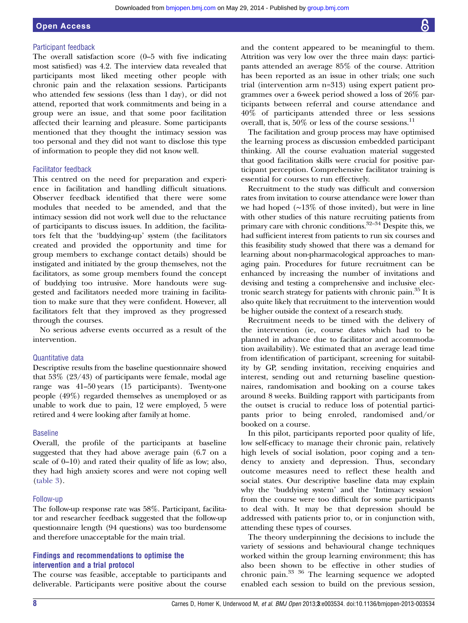# Participant feedback

The overall satisfaction score (0–5 with five indicating most satisfied) was 4.2. The interview data revealed that participants most liked meeting other people with chronic pain and the relaxation sessions. Participants who attended few sessions (less than 1 day), or did not attend, reported that work commitments and being in a group were an issue, and that some poor facilitation affected their learning and pleasure. Some participants mentioned that they thought the intimacy session was too personal and they did not want to disclose this type of information to people they did not know well.

#### Facilitator feedback

This centred on the need for preparation and experience in facilitation and handling difficult situations. Observer feedback identified that there were some modules that needed to be amended, and that the intimacy session did not work well due to the reluctance of participants to discuss issues. In addition, the facilitators felt that the 'buddying-up' system (the facilitators created and provided the opportunity and time for group members to exchange contact details) should be instigated and initiated by the group themselves, not the facilitators, as some group members found the concept of buddying too intrusive. More handouts were suggested and facilitators needed more training in facilitation to make sure that they were confident. However, all facilitators felt that they improved as they progressed through the courses.

No serious adverse events occurred as a result of the intervention.

## Quantitative data

Descriptive results from the baseline questionnaire showed that 53% (23/43) of participants were female, modal age range was 41–50 years (15 participants). Twenty-one people (49%) regarded themselves as unemployed or as unable to work due to pain, 12 were employed, 5 were retired and 4 were looking after family at home.

#### **Baseline**

Overall, the profile of the participants at baseline suggested that they had above average pain (6.7 on a scale of 0–10) and rated their quality of life as low; also, they had high anxiety scores and were not coping well (table 3).

#### Follow-up

The follow-up response rate was 58%. Participant, facilitator and researcher feedback suggested that the follow-up questionnaire length (94 questions) was too burdensome and therefore unacceptable for the main trial.

# Findings and recommendations to optimise the intervention and a trial protocol

The course was feasible, acceptable to participants and deliverable. Participants were positive about the course

and the content appeared to be meaningful to them. Attrition was very low over the three main days: participants attended an average 85% of the course. Attrition has been reported as an issue in other trials; one such trial (intervention arm n=313) using expert patient programmes over a 6-week period showed a loss of 26% participants between referral and course attendance and 40% of participants attended three or less sessions overall, that is,  $50\%$  or less of the course sessions.<sup>11</sup>

The facilitation and group process may have optimised the learning process as discussion embedded participant thinking. All the course evaluation material suggested that good facilitation skills were crucial for positive participant perception. Comprehensive facilitator training is essential for courses to run effectively.

Recruitment to the study was difficult and conversion rates from invitation to course attendance were lower than we had hoped (∼13% of those invited), but were in line with other studies of this nature recruiting patients from primary care with chronic conditions.<sup>32–34</sup> Despite this, we had sufficient interest from patients to run six courses and this feasibility study showed that there was a demand for learning about non-pharmacological approaches to managing pain. Procedures for future recruitment can be enhanced by increasing the number of invitations and devising and testing a comprehensive and inclusive electronic search strategy for patients with chronic pain.35 It is also quite likely that recruitment to the intervention would be higher outside the context of a research study.

Recruitment needs to be timed with the delivery of the intervention (ie, course dates which had to be planned in advance due to facilitator and accommodation availability). We estimated that an average lead time from identification of participant, screening for suitability by GP, sending invitation, receiving enquiries and interest, sending out and returning baseline questionnaires, randomisation and booking on a course takes around 8 weeks. Building rapport with participants from the outset is crucial to reduce loss of potential participants prior to being enroled, randomised and/or booked on a course.

In this pilot, participants reported poor quality of life, low self-efficacy to manage their chronic pain, relatively high levels of social isolation, poor coping and a tendency to anxiety and depression. Thus, secondary outcome measures need to reflect these health and social states. Our descriptive baseline data may explain why the 'buddying system' and the 'Intimacy session' from the course were too difficult for some participants to deal with. It may be that depression should be addressed with patients prior to, or in conjunction with, attending these types of courses.

The theory underpinning the decisions to include the variety of sessions and behavioural change techniques worked within the group learning environment; this has also been shown to be effective in other studies of chronic pain.33 36 The learning sequence we adopted enabled each session to build on the previous session,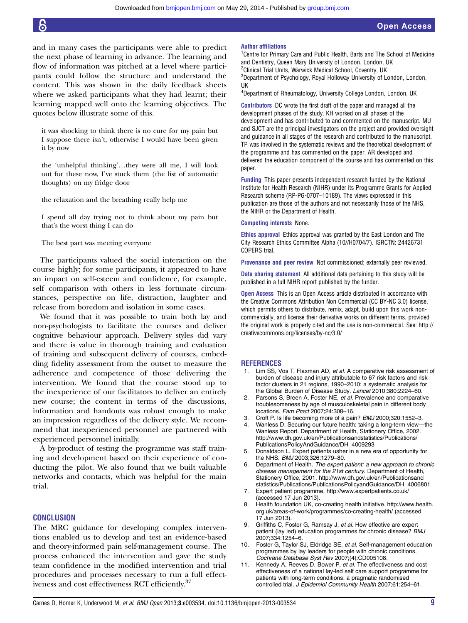and in many cases the participants were able to predict the next phase of learning in advance. The learning and flow of information was pitched at a level where participants could follow the structure and understand the content. This was shown in the daily feedback sheets where we asked participants what they had learnt; their learning mapped well onto the learning objectives. The quotes below illustrate some of this.

it was shocking to think there is no cure for my pain but I suppose there isn't, otherwise I would have been given it by now

the 'unhelpful thinking'…they were all me, I will look out for these now, I've stuck them (the list of automatic thoughts) on my fridge door

the relaxation and the breathing really help me

I spend all day trying not to think about my pain but that's the worst thing I can do

The best part was meeting everyone

The participants valued the social interaction on the course highly; for some participants, it appeared to have an impact on self-esteem and confidence, for example, self comparison with others in less fortunate circumstances, perspective on life, distraction, laughter and release from boredom and isolation in some cases.

We found that it was possible to train both lay and non-psychologists to facilitate the courses and deliver cognitive behaviour approach. Delivery styles did vary and there is value in thorough training and evaluation of training and subsequent delivery of courses, embedding fidelity assessment from the outset to measure the adherence and competence of those delivering the intervention. We found that the course stood up to the inexperience of our facilitators to deliver an entirely new course; the content in terms of the discussions, information and handouts was robust enough to make an impression regardless of the delivery style. We recommend that inexperienced personnel are partnered with experienced personnel initially.

A by-product of testing the programme was staff training and development based on their experience of conducting the pilot. We also found that we built valuable networks and contacts, which was helpful for the main trial.

#### **CONCLUSION**

The MRC guidance for developing complex interventions enabled us to develop and test an evidence-based and theory-informed pain self-management course. The process enhanced the intervention and gave the study team confidence in the modified intervention and trial procedures and processes necessary to run a full effectiveness and cost effectiveness RCT efficiently.<sup>37</sup>

#### Author affiliations

<sup>1</sup> Centre for Primary Care and Public Health, Barts and The School of Medicine and Dentistry, Queen Mary University of London, London, UK <sup>2</sup>Clinical Trial Units, Warwick Medical School, Coventry, UK <sup>3</sup>Department of Psychology, Royal Holloway University of London, London, UK

<sup>4</sup>Department of Rheumatology, University College London, London, UK

Contributors DC wrote the first draft of the paper and managed all the development phases of the study. KH worked on all phases of the development and has contributed to and commented on the manuscript. MU and SJCT are the principal investigators on the project and provided oversight and guidance in all stages of the research and contributed to the manuscript. TP was involved in the systematic reviews and the theoretical development of the programme and has commented on the paper. AR developed and delivered the education component of the course and has commented on this paper.

Funding This paper presents independent research funded by the National Institute for Health Research (NIHR) under its Programme Grants for Applied Research scheme (RP-PG-0707–10189). The views expressed in this publication are those of the authors and not necessarily those of the NHS, the NIHR or the Department of Health.

#### Competing interests None.

Ethics approval Ethics approval was granted by the East London and The City Research Ethics Committee Alpha (10//H0704/7). ISRCTN: 24426731 COPERS trial.

Provenance and peer review Not commissioned; externally peer reviewed.

Data sharing statement All additional data pertaining to this study will be published in a full NIHR report published by the funder.

Open Access This is an Open Access article distributed in accordance with the Creative Commons Attribution Non Commercial (CC BY-NC 3.0) license, which permits others to distribute, remix, adapt, build upon this work noncommercially, and license their derivative works on different terms, provided the original work is properly cited and the use is non-commercial. See: [http://](http://creativecommons.org/licenses/by-nc/3.0/) [creativecommons.org/licenses/by-nc/3.0/](http://creativecommons.org/licenses/by-nc/3.0/)

#### **REFERENCES**

- 1. Lim SS, Vos T, Flaxman AD, et al. A comparative risk assessment of burden of disease and injury attributable to 67 risk factors and risk factor clusters in 21 regions, 1990–2010: a systematic analysis for the Global Burden of Disease Study. Lancet 2010;380:2224–60.
- 2. Parsons S, Breen A, Foster NE, et al. Prevalence and comparative troublesomeness by age of musculoskeletal pain in different body locations. Fam Pract 2007;24:308–16.
- 3. Croft P. Is life becoming more of a pain? BMJ 2000;320:1552–3.
- 4. Wanless D. Securing our future health: taking a long-term view—the Wanless Report. Department of Health, Stationery Office, 2002. [http://www.dh.gov.uk/en/Publicationsandstatistics/Publications/](http://www.dh.gov.uk/en/Publicationsandstatistics/Publications/PublicationsPolicyAndGuidance/DH_4009293) [PublicationsPolicyAndGuidance/DH\\_4009293](http://www.dh.gov.uk/en/Publicationsandstatistics/Publications/PublicationsPolicyAndGuidance/DH_4009293)
- 5. Donaldson L. Expert patients usher in a new era of opportunity for the NHS. BMJ 2003;326:1279–80.
- Department of Health. The expert patient: a new approach to chronic disease management for the 21st century. Department of Health, Stationery Office, 2001. [http://www.dh.gov.uk/en/Publicationsand](http://www.dh.gov.uk/en/Publicationsandstatistics/Publications/PublicationsPolicyandGuidance/DH_4006801) [statistics/Publications/PublicationsPolicyandGuidance/DH\\_4006801](http://www.dh.gov.uk/en/Publicationsandstatistics/Publications/PublicationsPolicyandGuidance/DH_4006801)
- 7. Expert patient programme.<http://www.expertpatients.co.uk/> (accessed 17 Jun 2013).
- Health foundation UK, co-creating health initiative. [http://www.health.](http://www.health.org.uk/areas-of-work/programmes/co-creating-health/) [org.uk/areas-of-work/programmes/co-creating-health/](http://www.health.org.uk/areas-of-work/programmes/co-creating-health/) (accessed 17 Jun 2013).
- 9. Griffiths C, Foster G, Ramsay J, et al. How effective are expert patient (lay led) education programmes for chronic disease? BMJ 2007;334:1254–6.
- 10. Foster G, Taylor SJ, Eldridge SE, et al. Self-management education programmes by lay leaders for people with chronic conditions. Cochrane Database Syst Rev 2007;(4):CD005108.
- 11. Kennedy A, Reeves D, Bower P, et al. The effectiveness and cost effectiveness of a national lay-led self care support programme for patients with long-term conditions: a pragmatic randomised controlled trial. J Epidemiol Community Health 2007;61:254–61.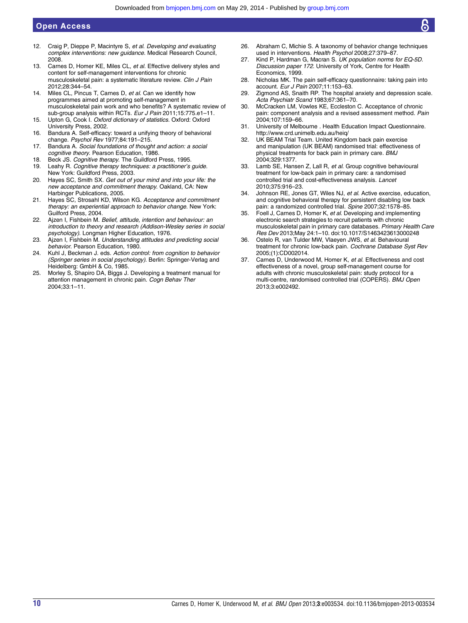- 12. Craig P, Dieppe P, Macintyre S, et al. Developing and evaluating complex interventions: new guidance. Medical Research Council, 2008.
- 13. Carnes D, Homer KE, Miles CL, et al. Effective delivery styles and content for self-management interventions for chronic musculoskeletal pain: a systematic literature review. Clin J Pain 2012;28:344–54.
- 14. Miles CL, Pincus T, Carnes D, et al. Can we identify how programmes aimed at promoting self-management in musculoskeletal pain work and who benefits? A systematic review of sub-group analysis within RCTs. Eur J Pain 2011;15:775.e1-11.
- 15. Upton G, Cook I. Oxford dictionary of statistics. Oxford: Oxford University Press, 2002.
- 16. Bandura A. Self-efficacy: toward a unifying theory of behavioral change. Psychol Rev 1977;84:191–215.
- 17. Bandura A. Social foundations of thought and action: a social cognitive theory. Pearson Education, 1986.
- 18. Beck JS. Cognitive therapy. The Guildford Press, 1995.
- 19. Leahy R. Cognitive therapy techniques: a practitioner's guide. New York: Guildford Press, 2003.
- 20. Hayes SC, Smith SX. Get out of your mind and into your life: the new acceptance and commitment therapy. Oakland, CA: New Harbinger Publications, 2005.
- 21. Hayes SC, Strosahl KD, Wilson KG. Acceptance and commitment therapy: an experiential approach to behavior change. New York: Guilford Press, 2004.
- 22. Ajzen I, Fishbein M. Belief, attitude, intention and behaviour: an introduction to theory and research (Addison-Wesley series in social psychology). Longman Higher Education, 1976.
- 23. Ajzen I, Fishbein M. Understanding attitudes and predicting social behavior. Pearson Education, 1980.
- 24. Kuhl J, Beckman J. eds. Action control: from cognition to behavior (Springer series in social psychology). Berlin: Springer-Verlag and Heidelberg: GmbH & Co, 1985.
- 25. Morley S, Shapiro DA, Biggs J. Developing a treatment manual for attention management in chronic pain. Cogn Behav Ther 2004;33:1–11.
- 26. Abraham C, Michie S. A taxonomy of behavior change techniques used in interventions. Health Psychol 2008;27:379–87.
- 27. Kind P, Hardman G, Macran S. UK population norms for EQ-5D. Discussion paper 172. University of York, Centre for Health Economics, 1999.
- 28. Nicholas MK. The pain self-efficacy questionnaire: taking pain into account. Eur J Pain 2007;11:153–63.
- 29. Zigmond AS, Snaith RP. The hospital anxiety and depression scale. Acta Psychiatr Scand 1983;67:361–70.
- 30. McCracken LM, Vowles KE, Eccleston C. Acceptance of chronic pain: component analysis and a revised assessment method. Pain 2004;107:159–66.
- 31. University of Melbourne . Health Education Impact Questionnaire. <http://www.crd.unimelb.edu.au/heiq/>
- 32. UK BEAM Trial Team. United Kingdom back pain exercise and manipulation (UK BEAM) randomised trial: effectiveness of physical treatments for back pain in primary care. BMJ 2004;329:1377.
- 33. Lamb SE, Hansen Z, Lall R, et al. Group cognitive behavioural treatment for low-back pain in primary care: a randomised controlled trial and cost-effectiveness analysis. Lancet 2010;375:916–23.
- 34. Johnson RE, Jones GT, Wiles NJ, et al. Active exercise, education, and cognitive behavioral therapy for persistent disabling low back pain: a randomized controlled trial. Spine 2007;32:1578-85.
- 35. Foell J, Carnes D, Homer K, et al. Developing and implementing electronic search strategies to recruit patients with chronic musculoskeletal pain in primary care databases. Primary Health Care Res Dev 2013;May 24:1–10. doi:[10.1017/S1463423613000248](http://dx.doi.org/10.1017/S1463423613000248)
- 36. Ostelo R, van Tulder MW, Vlaeyen JWS, et al. Behavioural treatment for chronic low-back pain. Cochrane Database Syst Rev 2005;(1):CD002014.
- 37. Carnes D, Underwood M, Homer K, et al. Effectiveness and cost effectiveness of a novel, group self-management course for adults with chronic musculoskeletal pain: study protocol for a multi-centre, randomised controlled trial (COPERS). BMJ Open 2013;3:e002492.